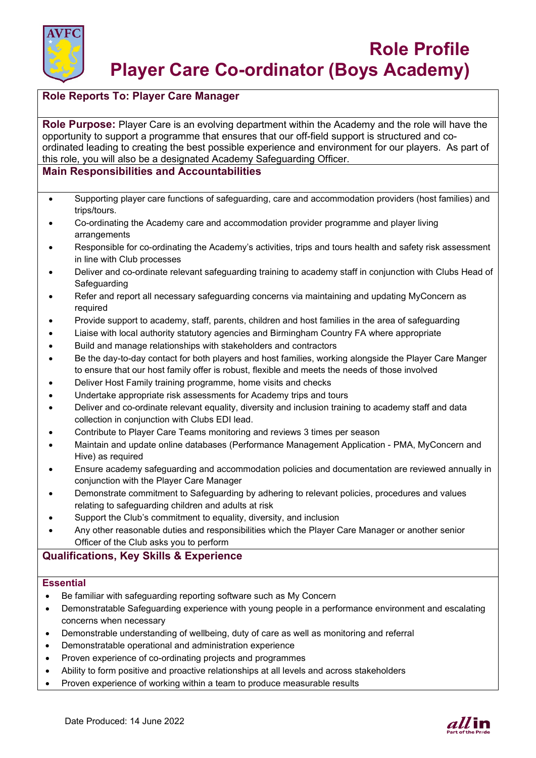

## **Role Reports To: Player Care Manager**

**Role Purpose:** Player Care is an evolving department within the Academy and the role will have the opportunity to support a programme that ensures that our off-field support is structured and coordinated leading to creating the best possible experience and environment for our players. As part of this role, you will also be a designated Academy Safeguarding Officer.

## **Main Responsibilities and Accountabilities**

- Supporting player care functions of safeguarding, care and accommodation providers (host families) and trips/tours.
- Co-ordinating the Academy care and accommodation provider programme and player living arrangements
- Responsible for co-ordinating the Academy's activities, trips and tours health and safety risk assessment in line with Club processes
- Deliver and co-ordinate relevant safeguarding training to academy staff in conjunction with Clubs Head of **Safeguarding**
- Refer and report all necessary safeguarding concerns via maintaining and updating MyConcern as required
- Provide support to academy, staff, parents, children and host families in the area of safeguarding
- Liaise with local authority statutory agencies and Birmingham Country FA where appropriate
- Build and manage relationships with stakeholders and contractors
- Be the day-to-day contact for both players and host families, working alongside the Player Care Manger to ensure that our host family offer is robust, flexible and meets the needs of those involved
- Deliver Host Family training programme, home visits and checks
- Undertake appropriate risk assessments for Academy trips and tours
- Deliver and co-ordinate relevant equality, diversity and inclusion training to academy staff and data collection in conjunction with Clubs EDI lead.
- Contribute to Player Care Teams monitoring and reviews 3 times per season
- Maintain and update online databases (Performance Management Application PMA, MyConcern and Hive) as required
- Ensure academy safeguarding and accommodation policies and documentation are reviewed annually in conjunction with the Player Care Manager
- Demonstrate commitment to Safeguarding by adhering to relevant policies, procedures and values relating to safeguarding children and adults at risk
- Support the Club's commitment to equality, diversity, and inclusion
- Any other reasonable duties and responsibilities which the Player Care Manager or another senior Officer of the Club asks you to perform

# **Qualifications, Key Skills & Experience**

#### **Essential**

- Be familiar with safeguarding reporting software such as My Concern
- Demonstratable Safeguarding experience with young people in a performance environment and escalating concerns when necessary
- Demonstrable understanding of wellbeing, duty of care as well as monitoring and referral
- Demonstratable operational and administration experience
- Proven experience of co-ordinating projects and programmes
- Ability to form positive and proactive relationships at all levels and across stakeholders
- Proven experience of working within a team to produce measurable results